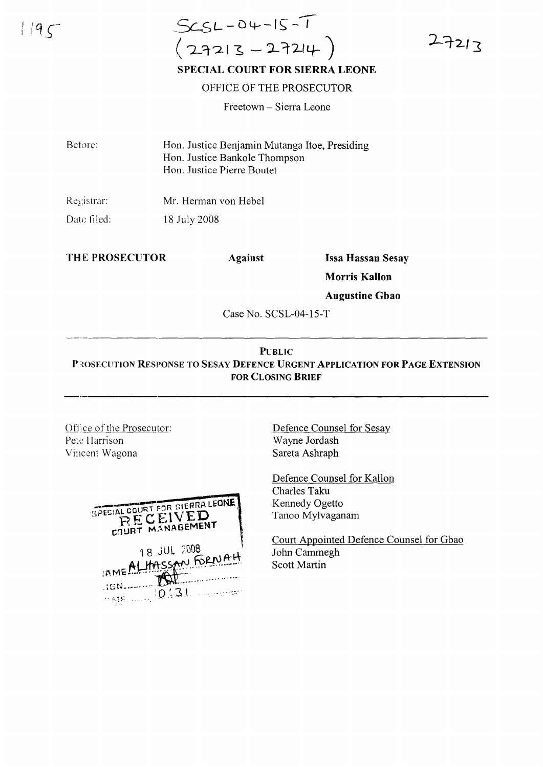$1/9<$ 

## $ScsL - 04 - 15 - 1$  $(27213 - 27214)$ **SPECIAL COURT FOR SIERRA LEONE**

OFFICE OF THE PROSECUTOR

Freetown - Sierra Leone

Before: Hon. Justice Benjamin Mutanga Itoe, Presiding Hon. Justice Bankole Thompson Hon. Justice Pierre Boutet

Registrar: Mr. Herman von Hebel Date filed: 18 July 2008

THE PROSECUTOR

**Against** 

**Issa Hassan Sesay** 

 $27213$ 

**Morris Kallon** 

**Augustine Gbao** 

Case No. SCSL-04-15-T

## **PUBLIC** PROSECUTION RESPONSE TO SESAY DEFENCE URGENT APPLICATION FOR PAGE EXTENSION **FOR CLOSING BRIEF**

Office of the Prosecutor: Pete Harrison Vincent Wagona

| SPECIAL COURT FOR SIERRA LEONE<br>RECEIVED<br>COURT MANAGEMENT |  |
|----------------------------------------------------------------|--|
| 18 JUL 2008<br>IAME ALHASSAN FORWAH<br>ះចល<br>0!31             |  |

Defence Counsel for Sesay Wayne Jordash Sareta Ashraph

Defence Counsel for Kallon Charles Taku Kennedy Ogetto Tanoo Mylvaganam

Court Appointed Defence Counsel for Gbao John Cammegh **Scott Martin**